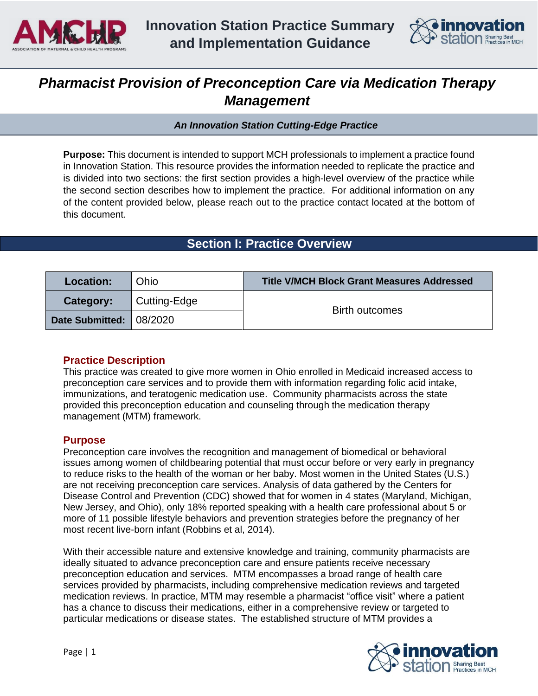



# *Pharmacist Provision of Preconception Care via Medication Therapy Management*

*An Innovation Station Cutting-Edge Practice* 

**Purpose:** This document is intended to support MCH professionals to implement a practice found in Innovation Station. This resource provides the information needed to replicate the practice and is divided into two sections: the first section provides a high-level overview of the practice while the second section describes how to implement the practice. For additional information on any of the content provided below, please reach out to the practice contact located at the bottom of this document.

# **Section I: Practice Overview**

| Location:       | <b>Ohio</b>  | <b>Title V/MCH Block Grant Measures Addressed</b> |  |
|-----------------|--------------|---------------------------------------------------|--|
| Category:       | Cutting-Edge | <b>Birth outcomes</b>                             |  |
| Date Submitted: | 08/2020      |                                                   |  |

# **Practice Description**

This practice was created to give more women in Ohio enrolled in Medicaid increased access to preconception care services and to provide them with information regarding folic acid intake, immunizations, and teratogenic medication use. Community pharmacists across the state provided this preconception education and counseling through the medication therapy management (MTM) framework.

#### **Purpose**

Preconception care involves the recognition and management of biomedical or behavioral issues among women of childbearing potential that must occur before or very early in pregnancy to reduce risks to the health of the woman or her baby. Most women in the United States (U.S.) are not receiving preconception care services. Analysis of data gathered by the Centers for Disease Control and Prevention (CDC) showed that for women in 4 states (Maryland, Michigan, New Jersey, and Ohio), only 18% reported speaking with a health care professional about 5 or more of 11 possible lifestyle behaviors and prevention strategies before the pregnancy of her most recent live-born infant (Robbins et al, 2014).

With their accessible nature and extensive knowledge and training, community pharmacists are ideally situated to advance preconception care and ensure patients receive necessary preconception education and services. MTM encompasses a broad range of health care services provided by pharmacists, including comprehensive medication reviews and targeted medication reviews. In practice, MTM may resemble a pharmacist "office visit" where a patient has a chance to discuss their medications, either in a comprehensive review or targeted to particular medications or disease states. The established structure of MTM provides a

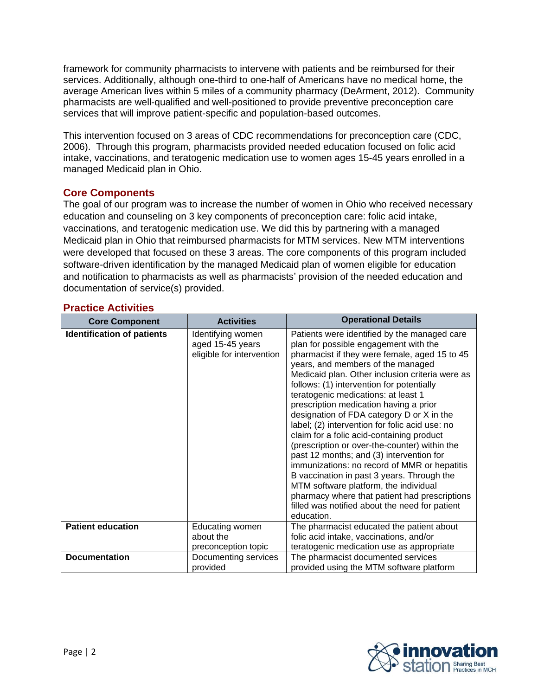framework for community pharmacists to intervene with patients and be reimbursed for their services. Additionally, although one-third to one-half of Americans have no medical home, the average American lives within 5 miles of a community pharmacy (DeArment, 2012). Community pharmacists are well-qualified and well-positioned to provide preventive preconception care services that will improve patient-specific and population-based outcomes.

This intervention focused on 3 areas of CDC recommendations for preconception care (CDC, 2006). Through this program, pharmacists provided needed education focused on folic acid intake, vaccinations, and teratogenic medication use to women ages 15-45 years enrolled in a managed Medicaid plan in Ohio.

### **Core Components**

The goal of our program was to increase the number of women in Ohio who received necessary education and counseling on 3 key components of preconception care: folic acid intake, vaccinations, and teratogenic medication use. We did this by partnering with a managed Medicaid plan in Ohio that reimbursed pharmacists for MTM services. New MTM interventions were developed that focused on these 3 areas. The core components of this program included software-driven identification by the managed Medicaid plan of women eligible for education and notification to pharmacists as well as pharmacists' provision of the needed education and documentation of service(s) provided.

| <b>Core Component</b>             | <b>Activities</b>                                                  | <b>Operational Details</b>                                                                                                                                                                                                                                                                                                                                                                                                                                                                                                                                                                                                                                                                                                                                                                                                                      |  |
|-----------------------------------|--------------------------------------------------------------------|-------------------------------------------------------------------------------------------------------------------------------------------------------------------------------------------------------------------------------------------------------------------------------------------------------------------------------------------------------------------------------------------------------------------------------------------------------------------------------------------------------------------------------------------------------------------------------------------------------------------------------------------------------------------------------------------------------------------------------------------------------------------------------------------------------------------------------------------------|--|
| <b>Identification of patients</b> | Identifying women<br>aged 15-45 years<br>eligible for intervention | Patients were identified by the managed care<br>plan for possible engagement with the<br>pharmacist if they were female, aged 15 to 45<br>years, and members of the managed<br>Medicaid plan. Other inclusion criteria were as<br>follows: (1) intervention for potentially<br>teratogenic medications: at least 1<br>prescription medication having a prior<br>designation of FDA category D or X in the<br>label; (2) intervention for folic acid use: no<br>claim for a folic acid-containing product<br>(prescription or over-the-counter) within the<br>past 12 months; and (3) intervention for<br>immunizations: no record of MMR or hepatitis<br>B vaccination in past 3 years. Through the<br>MTM software platform, the individual<br>pharmacy where that patient had prescriptions<br>filled was notified about the need for patient |  |
| <b>Patient education</b>          | Educating women<br>about the                                       | The pharmacist educated the patient about<br>folic acid intake, vaccinations, and/or                                                                                                                                                                                                                                                                                                                                                                                                                                                                                                                                                                                                                                                                                                                                                            |  |
|                                   | preconception topic                                                | teratogenic medication use as appropriate                                                                                                                                                                                                                                                                                                                                                                                                                                                                                                                                                                                                                                                                                                                                                                                                       |  |
| <b>Documentation</b>              | Documenting services<br>provided                                   | The pharmacist documented services<br>provided using the MTM software platform                                                                                                                                                                                                                                                                                                                                                                                                                                                                                                                                                                                                                                                                                                                                                                  |  |

### **Practice Activities**

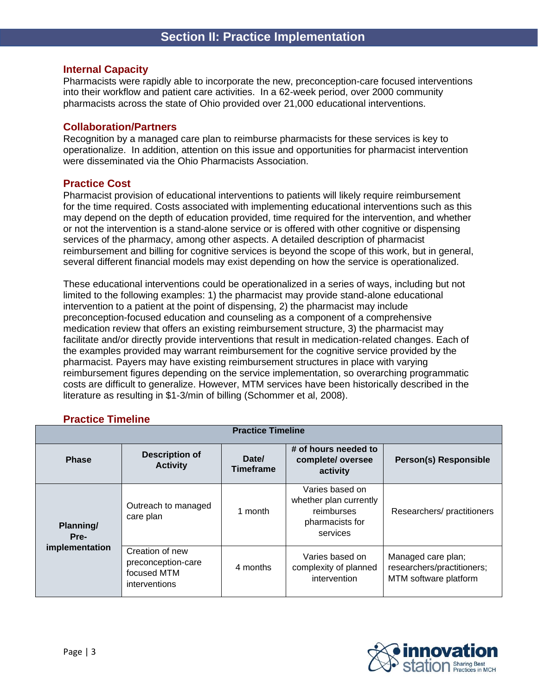#### **Internal Capacity**

Pharmacists were rapidly able to incorporate the new, preconception-care focused interventions into their workflow and patient care activities. In a 62-week period, over 2000 community pharmacists across the state of Ohio provided over 21,000 educational interventions.

#### **Collaboration/Partners**

Recognition by a managed care plan to reimburse pharmacists for these services is key to operationalize. In addition, attention on this issue and opportunities for pharmacist intervention were disseminated via the Ohio Pharmacists Association.

#### **Practice Cost**

Pharmacist provision of educational interventions to patients will likely require reimbursement for the time required. Costs associated with implementing educational interventions such as this may depend on the depth of education provided, time required for the intervention, and whether or not the intervention is a stand-alone service or is offered with other cognitive or dispensing services of the pharmacy, among other aspects. A detailed description of pharmacist reimbursement and billing for cognitive services is beyond the scope of this work, but in general, several different financial models may exist depending on how the service is operationalized.

These educational interventions could be operationalized in a series of ways, including but not limited to the following examples: 1) the pharmacist may provide stand-alone educational intervention to a patient at the point of dispensing, 2) the pharmacist may include preconception-focused education and counseling as a component of a comprehensive medication review that offers an existing reimbursement structure, 3) the pharmacist may facilitate and/or directly provide interventions that result in medication-related changes. Each of the examples provided may warrant reimbursement for the cognitive service provided by the pharmacist. Payers may have existing reimbursement structures in place with varying reimbursement figures depending on the service implementation, so overarching programmatic costs are difficult to generalize. However, MTM services have been historically described in the literature as resulting in \$1-3/min of billing (Schommer et al, 2008).

#### **Practice Timeline**

| <b>Practice Timeline</b> |                                                                       |                           |                                                                                        |                                                                           |  |  |
|--------------------------|-----------------------------------------------------------------------|---------------------------|----------------------------------------------------------------------------------------|---------------------------------------------------------------------------|--|--|
| <b>Phase</b>             | <b>Description of</b><br><b>Activity</b>                              | Date/<br><b>Timeframe</b> | # of hours needed to<br>complete/oversee<br>activity                                   | <b>Person(s) Responsible</b>                                              |  |  |
| Planning/<br>Pre-        | Outreach to managed<br>care plan                                      | 1 month                   | Varies based on<br>whether plan currently<br>reimburses<br>pharmacists for<br>services | Researchers/practitioners                                                 |  |  |
| implementation           | Creation of new<br>preconception-care<br>focused MTM<br>interventions | 4 months                  | Varies based on<br>complexity of planned<br>intervention                               | Managed care plan;<br>researchers/practitioners;<br>MTM software platform |  |  |

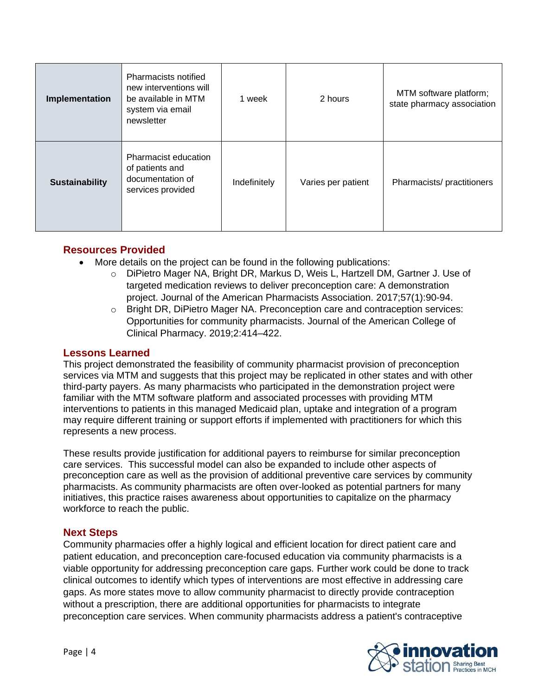| Implementation        | Pharmacists notified<br>new interventions will<br>be available in MTM<br>system via email<br>newsletter | 1 week       | 2 hours            | MTM software platform;<br>state pharmacy association |
|-----------------------|---------------------------------------------------------------------------------------------------------|--------------|--------------------|------------------------------------------------------|
| <b>Sustainability</b> | Pharmacist education<br>of patients and<br>documentation of<br>services provided                        | Indefinitely | Varies per patient | Pharmacists/practitioners                            |

# **Resources Provided**

- More details on the project can be found in the following publications:
	- o DiPietro Mager NA, Bright DR, Markus D, Weis L, Hartzell DM, Gartner J. Use of targeted medication reviews to deliver preconception care: A demonstration project. Journal of the American Pharmacists Association. 2017;57(1):90-94.
	- o Bright DR, DiPietro Mager NA. Preconception care and contraception services: Opportunities for community pharmacists. Journal of the American College of Clinical Pharmacy. 2019;2:414–422.

#### **Lessons Learned**

This project demonstrated the feasibility of community pharmacist provision of preconception services via MTM and suggests that this project may be replicated in other states and with other third-party payers. As many pharmacists who participated in the demonstration project were familiar with the MTM software platform and associated processes with providing MTM interventions to patients in this managed Medicaid plan, uptake and integration of a program may require different training or support efforts if implemented with practitioners for which this represents a new process.

These results provide justification for additional payers to reimburse for similar preconception care services. This successful model can also be expanded to include other aspects of preconception care as well as the provision of additional preventive care services by community pharmacists. As community pharmacists are often over-looked as potential partners for many initiatives, this practice raises awareness about opportunities to capitalize on the pharmacy workforce to reach the public.

#### **Next Steps**

Community pharmacies offer a highly logical and efficient location for direct patient care and patient education, and preconception care-focused education via community pharmacists is a viable opportunity for addressing preconception care gaps. Further work could be done to track clinical outcomes to identify which types of interventions are most effective in addressing care gaps. As more states move to allow community pharmacist to directly provide contraception without a prescription, there are additional opportunities for pharmacists to integrate preconception care services. When community pharmacists address a patient's contraceptive